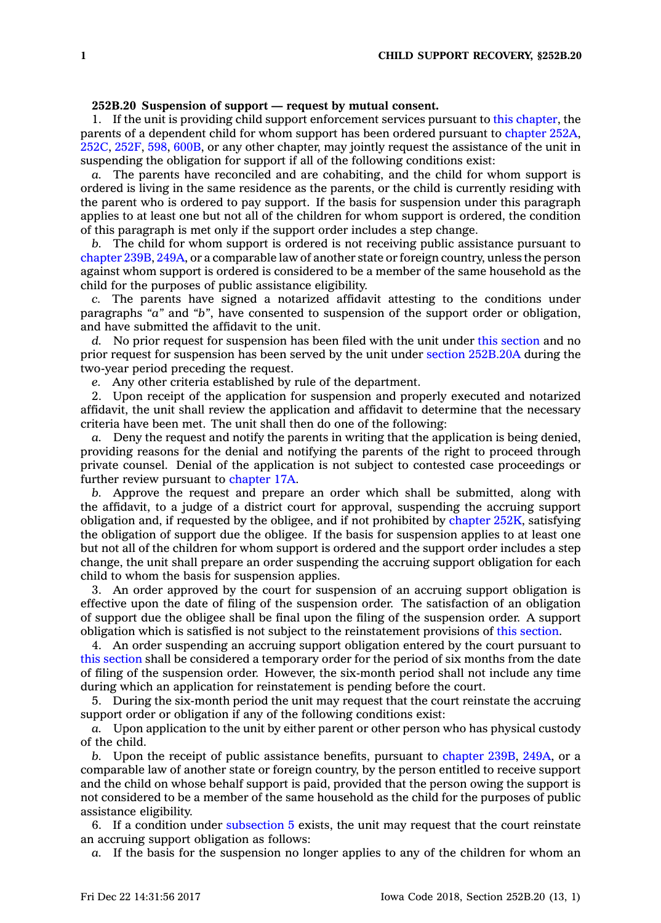## **252B.20 Suspension of support — request by mutual consent.**

1. If the unit is providing child support enforcement services pursuant to this [chapter](https://www.legis.iowa.gov/docs/code//252B.pdf), the parents of <sup>a</sup> dependent child for whom support has been ordered pursuant to [chapter](https://www.legis.iowa.gov/docs/code//252A.pdf) 252A, [252C](https://www.legis.iowa.gov/docs/code//252C.pdf), [252F](https://www.legis.iowa.gov/docs/code//252F.pdf), [598](https://www.legis.iowa.gov/docs/code//598.pdf), [600B](https://www.legis.iowa.gov/docs/code//600B.pdf), or any other chapter, may jointly request the assistance of the unit in suspending the obligation for support if all of the following conditions exist:

*a.* The parents have reconciled and are cohabiting, and the child for whom support is ordered is living in the same residence as the parents, or the child is currently residing with the parent who is ordered to pay support. If the basis for suspension under this paragraph applies to at least one but not all of the children for whom support is ordered, the condition of this paragraph is met only if the support order includes <sup>a</sup> step change.

*b.* The child for whom support is ordered is not receiving public assistance pursuant to [chapter](https://www.legis.iowa.gov/docs/code//239B.pdf) 239B, [249A](https://www.legis.iowa.gov/docs/code//249A.pdf), or <sup>a</sup> comparable law of another state or foreign country, unless the person against whom support is ordered is considered to be <sup>a</sup> member of the same household as the child for the purposes of public assistance eligibility.

*c.* The parents have signed <sup>a</sup> notarized affidavit attesting to the conditions under paragraphs *"a"* and *"b"*, have consented to suspension of the support order or obligation, and have submitted the affidavit to the unit.

*d.* No prior request for suspension has been filed with the unit under this [section](https://www.legis.iowa.gov/docs/code/252B.20.pdf) and no prior request for suspension has been served by the unit under section [252B.20A](https://www.legis.iowa.gov/docs/code/252B.20A.pdf) during the two-year period preceding the request.

*e.* Any other criteria established by rule of the department.

2. Upon receipt of the application for suspension and properly executed and notarized affidavit, the unit shall review the application and affidavit to determine that the necessary criteria have been met. The unit shall then do one of the following:

*a.* Deny the request and notify the parents in writing that the application is being denied, providing reasons for the denial and notifying the parents of the right to proceed through private counsel. Denial of the application is not subject to contested case proceedings or further review pursuant to [chapter](https://www.legis.iowa.gov/docs/code//17A.pdf) 17A.

*b.* Approve the request and prepare an order which shall be submitted, along with the affidavit, to <sup>a</sup> judge of <sup>a</sup> district court for approval, suspending the accruing support obligation and, if requested by the obligee, and if not prohibited by [chapter](https://www.legis.iowa.gov/docs/code//252K.pdf) 252K, satisfying the obligation of support due the obligee. If the basis for suspension applies to at least one but not all of the children for whom support is ordered and the support order includes <sup>a</sup> step change, the unit shall prepare an order suspending the accruing support obligation for each child to whom the basis for suspension applies.

3. An order approved by the court for suspension of an accruing support obligation is effective upon the date of filing of the suspension order. The satisfaction of an obligation of support due the obligee shall be final upon the filing of the suspension order. A support obligation which is satisfied is not subject to the reinstatement provisions of this [section](https://www.legis.iowa.gov/docs/code/252B.20.pdf).

4. An order suspending an accruing support obligation entered by the court pursuant to this [section](https://www.legis.iowa.gov/docs/code/252B.20.pdf) shall be considered <sup>a</sup> temporary order for the period of six months from the date of filing of the suspension order. However, the six-month period shall not include any time during which an application for reinstatement is pending before the court.

5. During the six-month period the unit may request that the court reinstate the accruing support order or obligation if any of the following conditions exist:

*a.* Upon application to the unit by either parent or other person who has physical custody of the child.

*b.* Upon the receipt of public assistance benefits, pursuant to [chapter](https://www.legis.iowa.gov/docs/code//239B.pdf) 239B, [249A](https://www.legis.iowa.gov/docs/code//249A.pdf), or <sup>a</sup> comparable law of another state or foreign country, by the person entitled to receive support and the child on whose behalf support is paid, provided that the person owing the support is not considered to be <sup>a</sup> member of the same household as the child for the purposes of public assistance eligibility.

6. If <sup>a</sup> condition under [subsection](https://www.legis.iowa.gov/docs/code/252B.20.pdf) 5 exists, the unit may request that the court reinstate an accruing support obligation as follows:

*a.* If the basis for the suspension no longer applies to any of the children for whom an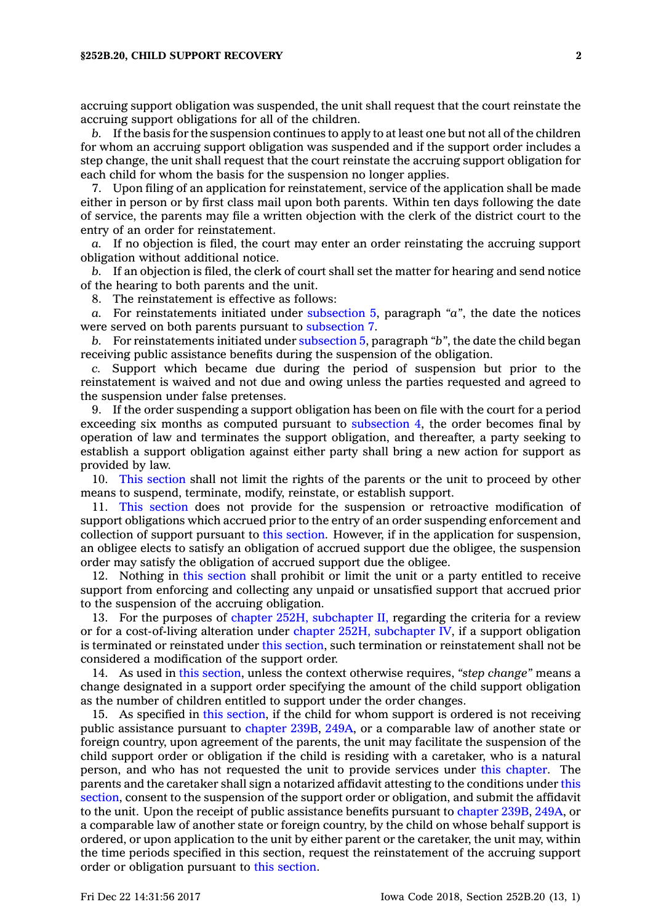accruing support obligation was suspended, the unit shall request that the court reinstate the accruing support obligations for all of the children.

*b.* If the basis for the suspension continues to apply to at least one but not all of the children for whom an accruing support obligation was suspended and if the support order includes <sup>a</sup> step change, the unit shall request that the court reinstate the accruing support obligation for each child for whom the basis for the suspension no longer applies.

7. Upon filing of an application for reinstatement, service of the application shall be made either in person or by first class mail upon both parents. Within ten days following the date of service, the parents may file <sup>a</sup> written objection with the clerk of the district court to the entry of an order for reinstatement.

*a.* If no objection is filed, the court may enter an order reinstating the accruing support obligation without additional notice.

*b.* If an objection is filed, the clerk of court shall set the matter for hearing and send notice of the hearing to both parents and the unit.

8. The reinstatement is effective as follows:

*a.* For reinstatements initiated under [subsection](https://www.legis.iowa.gov/docs/code/252B.20.pdf) 5, paragraph *"a"*, the date the notices were served on both parents pursuant to [subsection](https://www.legis.iowa.gov/docs/code/252B.20.pdf) 7.

*b.* For reinstatements initiated under [subsection](https://www.legis.iowa.gov/docs/code/252B.20.pdf) 5, paragraph *"b"*, the date the child began receiving public assistance benefits during the suspension of the obligation.

*c.* Support which became due during the period of suspension but prior to the reinstatement is waived and not due and owing unless the parties requested and agreed to the suspension under false pretenses.

9. If the order suspending <sup>a</sup> support obligation has been on file with the court for <sup>a</sup> period exceeding six months as computed pursuant to [subsection](https://www.legis.iowa.gov/docs/code/252B.20.pdf) 4, the order becomes final by operation of law and terminates the support obligation, and thereafter, <sup>a</sup> party seeking to establish <sup>a</sup> support obligation against either party shall bring <sup>a</sup> new action for support as provided by law.

10. This [section](https://www.legis.iowa.gov/docs/code/252B.20.pdf) shall not limit the rights of the parents or the unit to proceed by other means to suspend, terminate, modify, reinstate, or establish support.

11. This [section](https://www.legis.iowa.gov/docs/code/252B.20.pdf) does not provide for the suspension or retroactive modification of support obligations which accrued prior to the entry of an order suspending enforcement and collection of support pursuant to this [section](https://www.legis.iowa.gov/docs/code/252B.20.pdf). However, if in the application for suspension, an obligee elects to satisfy an obligation of accrued support due the obligee, the suspension order may satisfy the obligation of accrued support due the obligee.

12. Nothing in this [section](https://www.legis.iowa.gov/docs/code/252B.20.pdf) shall prohibit or limit the unit or <sup>a</sup> party entitled to receive support from enforcing and collecting any unpaid or unsatisfied support that accrued prior to the suspension of the accruing obligation.

13. For the purposes of chapter 252H, [subchapter](https://www.legis.iowa.gov/docs/code//252H.pdf) II, regarding the criteria for <sup>a</sup> review or for <sup>a</sup> cost-of-living alteration under chapter 252H, [subchapter](https://www.legis.iowa.gov/docs/code//252H.pdf) IV, if <sup>a</sup> support obligation is terminated or reinstated under this [section](https://www.legis.iowa.gov/docs/code/252B.20.pdf), such termination or reinstatement shall not be considered <sup>a</sup> modification of the support order.

14. As used in this [section](https://www.legis.iowa.gov/docs/code/252B.20.pdf), unless the context otherwise requires, *"step change"* means <sup>a</sup> change designated in <sup>a</sup> support order specifying the amount of the child support obligation as the number of children entitled to support under the order changes.

15. As specified in this [section](https://www.legis.iowa.gov/docs/code/252B.20.pdf), if the child for whom support is ordered is not receiving public assistance pursuant to [chapter](https://www.legis.iowa.gov/docs/code//239B.pdf) 239B, [249A](https://www.legis.iowa.gov/docs/code//249A.pdf), or <sup>a</sup> comparable law of another state or foreign country, upon agreement of the parents, the unit may facilitate the suspension of the child support order or obligation if the child is residing with <sup>a</sup> caretaker, who is <sup>a</sup> natural person, and who has not requested the unit to provide services under this [chapter](https://www.legis.iowa.gov/docs/code//252B.pdf). The parents and the caretaker shall sign <sup>a</sup> notarized affidavit attesting to the conditions under [this](https://www.legis.iowa.gov/docs/code/252B.20.pdf) [section](https://www.legis.iowa.gov/docs/code/252B.20.pdf), consent to the suspension of the support order or obligation, and submit the affidavit to the unit. Upon the receipt of public assistance benefits pursuant to [chapter](https://www.legis.iowa.gov/docs/code//239B.pdf) 239B, [249A](https://www.legis.iowa.gov/docs/code//249A.pdf), or <sup>a</sup> comparable law of another state or foreign country, by the child on whose behalf support is ordered, or upon application to the unit by either parent or the caretaker, the unit may, within the time periods specified in this section, request the reinstatement of the accruing support order or obligation pursuant to this [section](https://www.legis.iowa.gov/docs/code/252B.20.pdf).